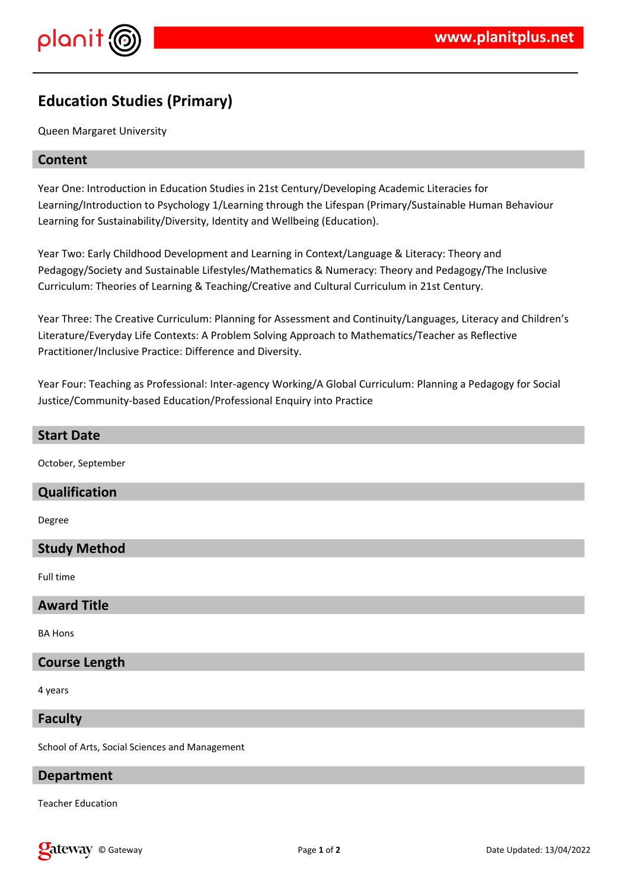

# **Education Studies (Primary)**

Queen Margaret University

### **Content**

Year One: Introduction in Education Studies in 21st Century/Developing Academic Literacies for Learning/Introduction to Psychology 1/Learning through the Lifespan (Primary/Sustainable Human Behaviour Learning for Sustainability/Diversity, Identity and Wellbeing (Education).

Year Two: Early Childhood Development and Learning in Context/Language & Literacy: Theory and Pedagogy/Society and Sustainable Lifestyles/Mathematics & Numeracy: Theory and Pedagogy/The Inclusive Curriculum: Theories of Learning & Teaching/Creative and Cultural Curriculum in 21st Century.

Year Three: The Creative Curriculum: Planning for Assessment and Continuity/Languages, Literacy and Children's Literature/Everyday Life Contexts: A Problem Solving Approach to Mathematics/Teacher as Reflective Practitioner/Inclusive Practice: Difference and Diversity.

Year Four: Teaching as Professional: Inter-agency Working/A Global Curriculum: Planning a Pedagogy for Social Justice/Community-based Education/Professional Enquiry into Practice

#### **Start Date**

October, September

#### **Qualification**

Degree

# **Study Method**

Full time

#### **Award Title**

BA Hons

#### **Course Length**

4 years

#### **Faculty**

School of Arts, Social Sciences and Management

#### **Department**

Teacher Education